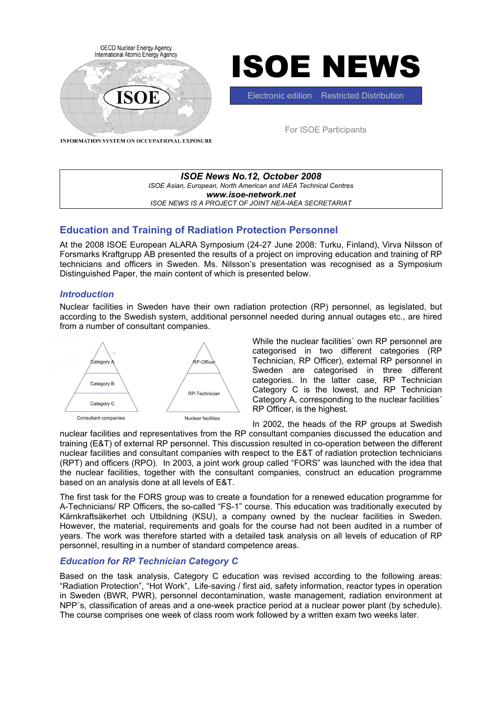



Electronic edition Restricted Distribution

For ISOE Participants

INFORMATION SYSTEM ON OCCUPATIONAL EXPOSURE

| ISOE News No.12, October 2008                                   |
|-----------------------------------------------------------------|
| ISOE Asian, European, North American and IAEA Technical Centres |
| www.isoe-network.net                                            |
| ISOE NEWS IS A PROJECT OF JOINT NEA-IAEA SECRETARIAT            |
|                                                                 |

# **Education and Training of Radiation Protection Personnel**

At the 2008 ISOE European ALARA Symposium (24-27 June 2008: Turku, Finland), Virva Nilsson of Forsmarks Kraftgrupp AB presented the results of a project on improving education and training of RP technicians and officers in Sweden. Ms. Nilsson's presentation was recognised as a Symposium Distinguished Paper, the main content of which is presented below.

## *Introduction*

Nuclear facilities in Sweden have their own radiation protection (RP) personnel, as legislated, but according to the Swedish system, additional personnel needed during annual outages etc., are hired from a number of consultant companies.



While the nuclear facilities´ own RP personnel are categorised in two different categories (RP Technician, RP Officer), external RP personnel in Sweden are categorised in three different categories. In the latter case, RP Technician Category C is the lowest, and RP Technician Category A, corresponding to the nuclear facilities´ RP Officer, is the highest.

In 2002, the heads of the RP groups at Swedish

nuclear facilities and representatives from the RP consultant companies discussed the education and training (E&T) of external RP personnel. This discussion resulted in co-operation between the different nuclear facilities and consultant companies with respect to the E&T of radiation protection technicians (RPT) and officers (RPO). In 2003, a joint work group called "FORS" was launched with the idea that the nuclear facilities, together with the consultant companies, construct an education programme based on an analysis done at all levels of E&T.

The first task for the FORS group was to create a foundation for a renewed education programme for A-Technicians/ RP Officers, the so-called "FS-1" course. This education was traditionally executed by Kärnkraftsäkerhet och Utbildning (KSU), a company owned by the nuclear facilities in Sweden. However, the material, requirements and goals for the course had not been audited in a number of years. The work was therefore started with a detailed task analysis on all levels of education of RP personnel, resulting in a number of standard competence areas.

# *Education for RP Technician Category C*

Based on the task analysis, Category C education was revised according to the following areas: "Radiation Protection", "Hot Work", Life-saving / first aid, safety information, reactor types in operation in Sweden (BWR, PWR), personnel decontamination, waste management, radiation environment at NPP´s, classification of areas and a one-week practice period at a nuclear power plant (by schedule). The course comprises one week of class room work followed by a written exam two weeks later.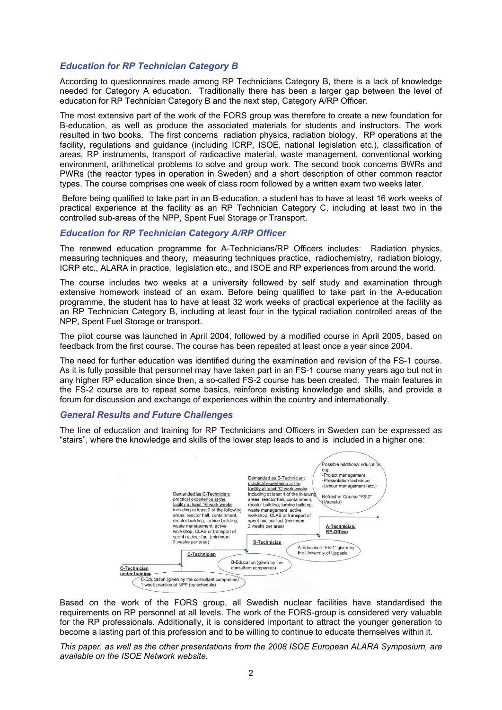### *Education for RP Technician Category B*

According to questionnaires made among RP Technicians Category B, there is a lack of knowledge needed for Category A education. Traditionally there has been a larger gap between the level of education for RP Technician Category B and the next step, Category A/RP Officer.

The most extensive part of the work of the FORS group was therefore to create a new foundation for B-education, as well as produce the associated materials for students and instructors. The work resulted in two books. The first concerns radiation physics, radiation biology, RP operations at the facility, regulations and guidance (including ICRP, ISOE, national legislation etc.), classification of areas, RP instruments, transport of radioactive material, waste management, conventional working environment, arithmetical problems to solve and group work. The second book concerns BWRs and PWRs (the reactor types in operation in Sweden) and a short description of other common reactor types. The course comprises one week of class room followed by a written exam two weeks later.

 Before being qualified to take part in an B-education, a student has to have at least 16 work weeks of practical experience at the facility as an RP Technician Category C, including at least two in the controlled sub-areas of the NPP, Spent Fuel Storage or Transport.

### *Education for RP Technician Category A/RP Officer*

The renewed education programme for A-Technicians/RP Officers includes: Radiation physics, measuring techniques and theory, measuring techniques practice, radiochemistry, radiation biology, ICRP etc., ALARA in practice, legislation etc., and ISOE and RP experiences from around the world.

The course includes two weeks at a university followed by self study and examination through extensive homework instead of an exam. Before being qualified to take part in the A-education programme, the student has to have at least 32 work weeks of practical experience at the facility as an RP Technician Category B, including at least four in the typical radiation controlled areas of the NPP, Spent Fuel Storage or transport.

The pilot course was launched in April 2004, followed by a modified course in April 2005, based on feedback from the first course. The course has been repeated at least once a year since 2004.

The need for further education was identified during the examination and revision of the FS-1 course. As it is fully possible that personnel may have taken part in an FS-1 course many years ago but not in any higher RP education since then, a so-called FS-2 course has been created. The main features in the FS-2 course are to repeat some basics, reinforce existing knowledge and skills, and provide a forum for discussion and exchange of experiences within the country and internationally.

### *General Results and Future Challenges*

The line of education and training for RP Technicians and Officers in Sweden can be expressed as "stairs", where the knowledge and skills of the lower step leads to and is included in a higher one:



Based on the work of the FORS group, all Swedish nuclear facilities have standardised the requirements on RP personnel at all levels. The work of the FORS-group is considered very valuable for the RP professionals. Additionally, it is considered important to attract the younger generation to become a lasting part of this profession and to be willing to continue to educate themselves within it.

*This paper, as well as the other presentations from the 2008 ISOE European ALARA Symposium, are available on the ISOE Network website.*